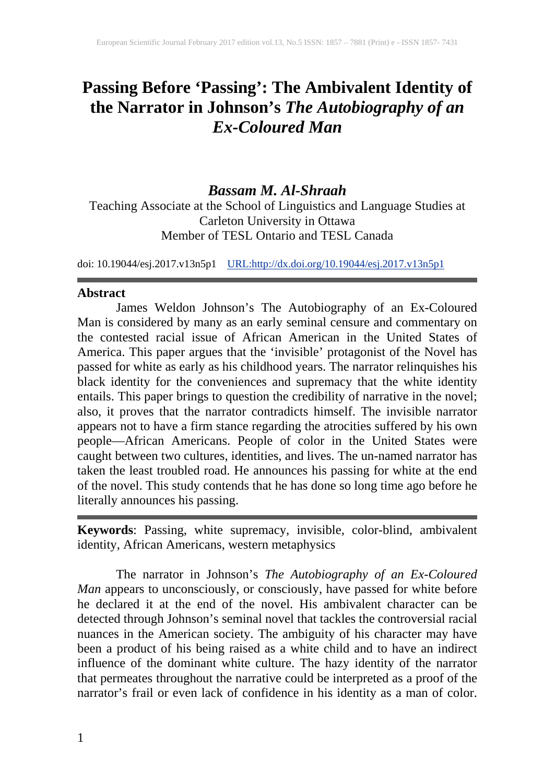## **Passing Before 'Passing': The Ambivalent Identity of the Narrator in Johnson's** *The Autobiography of an Ex-Coloured Man*

## *Bassam M. Al-Shraah*

Teaching Associate at the School of Linguistics and Language Studies at Carleton University in Ottawa Member of TESL Ontario and TESL Canada

doi: 10.19044/esj.2017.v13n5p1 [URL:http://dx.doi.org/10.19044/esj.2017.v13n5p1](http://dx.doi.org/10.19044/esj.2017.v13n5p1)

## **Abstract**

James Weldon Johnson's The Autobiography of an Ex-Coloured Man is considered by many as an early seminal censure and commentary on the contested racial issue of African American in the United States of America. This paper argues that the 'invisible' protagonist of the Novel has passed for white as early as his childhood years. The narrator relinquishes his black identity for the conveniences and supremacy that the white identity entails. This paper brings to question the credibility of narrative in the novel; also, it proves that the narrator contradicts himself. The invisible narrator appears not to have a firm stance regarding the atrocities suffered by his own people—African Americans. People of color in the United States were caught between two cultures, identities, and lives. The un-named narrator has taken the least troubled road. He announces his passing for white at the end of the novel. This study contends that he has done so long time ago before he literally announces his passing.

**Keywords**: Passing, white supremacy, invisible, color-blind, ambivalent identity, African Americans, western metaphysics

The narrator in Johnson's *The Autobiography of an Ex-Coloured Man* appears to unconsciously, or consciously, have passed for white before he declared it at the end of the novel. His ambivalent character can be detected through Johnson's seminal novel that tackles the controversial racial nuances in the American society. The ambiguity of his character may have been a product of his being raised as a white child and to have an indirect influence of the dominant white culture. The hazy identity of the narrator that permeates throughout the narrative could be interpreted as a proof of the narrator's frail or even lack of confidence in his identity as a man of color.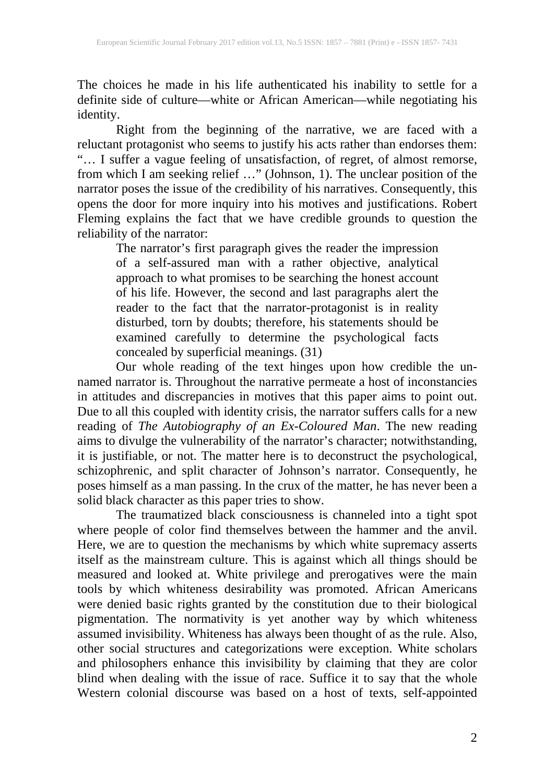The choices he made in his life authenticated his inability to settle for a definite side of culture—white or African American—while negotiating his identity.

Right from the beginning of the narrative, we are faced with a reluctant protagonist who seems to justify his acts rather than endorses them: "… I suffer a vague feeling of unsatisfaction, of regret, of almost remorse, from which I am seeking relief …" (Johnson, 1). The unclear position of the narrator poses the issue of the credibility of his narratives. Consequently, this opens the door for more inquiry into his motives and justifications. Robert Fleming explains the fact that we have credible grounds to question the reliability of the narrator:

The narrator's first paragraph gives the reader the impression of a self-assured man with a rather objective, analytical approach to what promises to be searching the honest account of his life. However, the second and last paragraphs alert the reader to the fact that the narrator-protagonist is in reality disturbed, torn by doubts; therefore, his statements should be examined carefully to determine the psychological facts concealed by superficial meanings. (31)

Our whole reading of the text hinges upon how credible the unnamed narrator is. Throughout the narrative permeate a host of inconstancies in attitudes and discrepancies in motives that this paper aims to point out. Due to all this coupled with identity crisis, the narrator suffers calls for a new reading of *The Autobiography of an Ex-Coloured Man*. The new reading aims to divulge the vulnerability of the narrator's character; notwithstanding, it is justifiable, or not. The matter here is to deconstruct the psychological, schizophrenic, and split character of Johnson's narrator. Consequently, he poses himself as a man passing. In the crux of the matter, he has never been a solid black character as this paper tries to show.

The traumatized black consciousness is channeled into a tight spot where people of color find themselves between the hammer and the anvil. Here, we are to question the mechanisms by which white supremacy asserts itself as the mainstream culture. This is against which all things should be measured and looked at. White privilege and prerogatives were the main tools by which whiteness desirability was promoted. African Americans were denied basic rights granted by the constitution due to their biological pigmentation. The normativity is yet another way by which whiteness assumed invisibility. Whiteness has always been thought of as the rule. Also, other social structures and categorizations were exception. White scholars and philosophers enhance this invisibility by claiming that they are color blind when dealing with the issue of race. Suffice it to say that the whole Western colonial discourse was based on a host of texts, self-appointed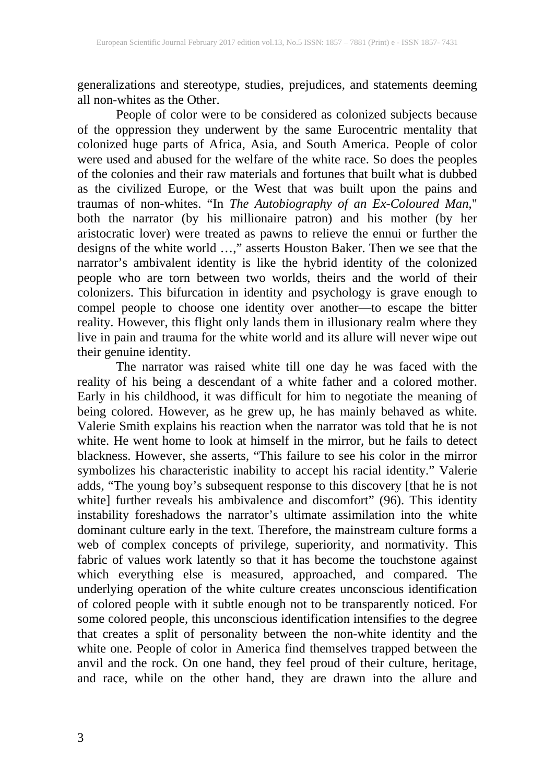generalizations and stereotype, studies, prejudices, and statements deeming all non-whites as the Other.

People of color were to be considered as colonized subjects because of the oppression they underwent by the same Eurocentric mentality that colonized huge parts of Africa, Asia, and South America. People of color were used and abused for the welfare of the white race. So does the peoples of the colonies and their raw materials and fortunes that built what is dubbed as the civilized Europe, or the West that was built upon the pains and traumas of non-whites. "In *The Autobiography of an Ex-Coloured Man*," both the narrator (by his millionaire patron) and his mother (by her aristocratic lover) were treated as pawns to relieve the ennui or further the designs of the white world …," asserts Houston Baker. Then we see that the narrator's ambivalent identity is like the hybrid identity of the colonized people who are torn between two worlds, theirs and the world of their colonizers. This bifurcation in identity and psychology is grave enough to compel people to choose one identity over another—to escape the bitter reality. However, this flight only lands them in illusionary realm where they live in pain and trauma for the white world and its allure will never wipe out their genuine identity.

The narrator was raised white till one day he was faced with the reality of his being a descendant of a white father and a colored mother. Early in his childhood, it was difficult for him to negotiate the meaning of being colored. However, as he grew up, he has mainly behaved as white. Valerie Smith explains his reaction when the narrator was told that he is not white. He went home to look at himself in the mirror, but he fails to detect blackness. However, she asserts, "This failure to see his color in the mirror symbolizes his characteristic inability to accept his racial identity." Valerie adds, "The young boy's subsequent response to this discovery [that he is not white] further reveals his ambivalence and discomfort" (96). This identity instability foreshadows the narrator's ultimate assimilation into the white dominant culture early in the text. Therefore, the mainstream culture forms a web of complex concepts of privilege, superiority, and normativity. This fabric of values work latently so that it has become the touchstone against which everything else is measured, approached, and compared. The underlying operation of the white culture creates unconscious identification of colored people with it subtle enough not to be transparently noticed. For some colored people, this unconscious identification intensifies to the degree that creates a split of personality between the non-white identity and the white one. People of color in America find themselves trapped between the anvil and the rock. On one hand, they feel proud of their culture, heritage, and race, while on the other hand, they are drawn into the allure and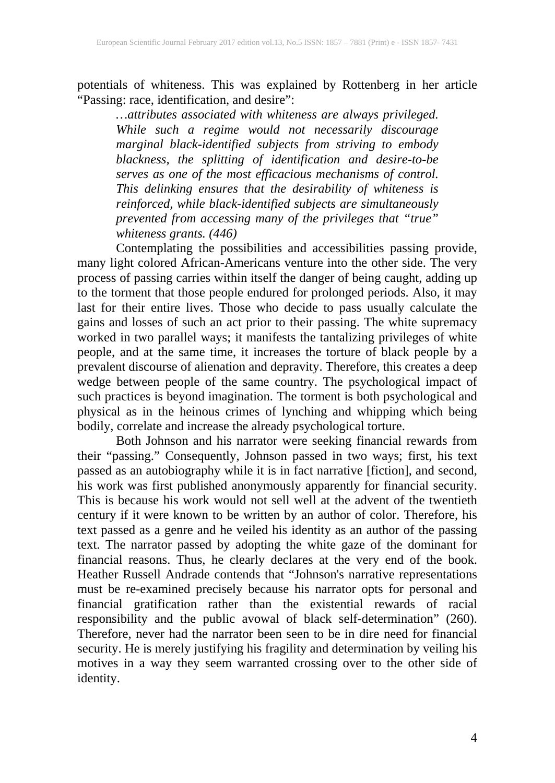potentials of whiteness. This was explained by Rottenberg in her article "Passing: race, identification, and desire":

*…attributes associated with whiteness are always privileged. While such a regime would not necessarily discourage marginal black-identified subjects from striving to embody blackness, the splitting of identification and desire-to-be serves as one of the most efficacious mechanisms of control. This delinking ensures that the desirability of whiteness is reinforced, while black-identified subjects are simultaneously prevented from accessing many of the privileges that "true" whiteness grants. (446)*

Contemplating the possibilities and accessibilities passing provide, many light colored African-Americans venture into the other side. The very process of passing carries within itself the danger of being caught, adding up to the torment that those people endured for prolonged periods. Also, it may last for their entire lives. Those who decide to pass usually calculate the gains and losses of such an act prior to their passing. The white supremacy worked in two parallel ways; it manifests the tantalizing privileges of white people, and at the same time, it increases the torture of black people by a prevalent discourse of alienation and depravity. Therefore, this creates a deep wedge between people of the same country. The psychological impact of such practices is beyond imagination. The torment is both psychological and physical as in the heinous crimes of lynching and whipping which being bodily, correlate and increase the already psychological torture.

Both Johnson and his narrator were seeking financial rewards from their "passing." Consequently, Johnson passed in two ways; first, his text passed as an autobiography while it is in fact narrative [fiction], and second, his work was first published anonymously apparently for financial security. This is because his work would not sell well at the advent of the twentieth century if it were known to be written by an author of color. Therefore, his text passed as a genre and he veiled his identity as an author of the passing text. The narrator passed by adopting the white gaze of the dominant for financial reasons. Thus, he clearly declares at the very end of the book. Heather Russell Andrade contends that "Johnson's narrative representations must be re-examined precisely because his narrator opts for personal and financial gratification rather than the existential rewards of racial responsibility and the public avowal of black self-determination" (260). Therefore, never had the narrator been seen to be in dire need for financial security. He is merely justifying his fragility and determination by veiling his motives in a way they seem warranted crossing over to the other side of identity.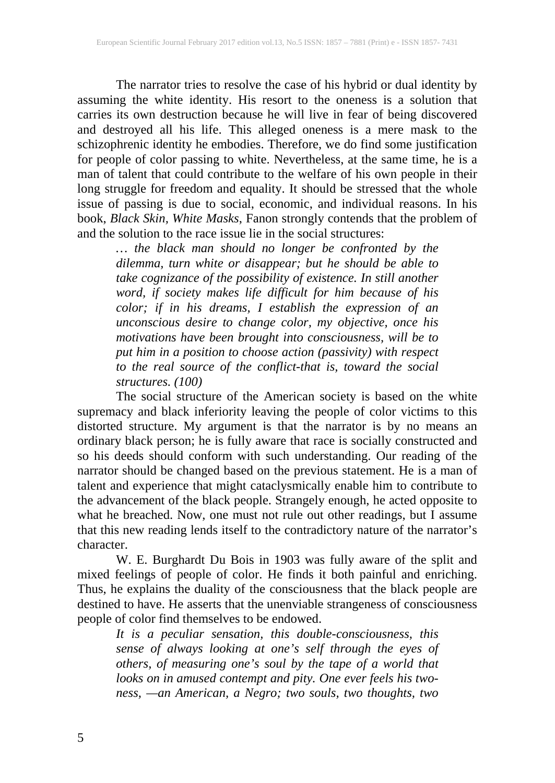The narrator tries to resolve the case of his hybrid or dual identity by assuming the white identity. His resort to the oneness is a solution that carries its own destruction because he will live in fear of being discovered and destroyed all his life. This alleged oneness is a mere mask to the schizophrenic identity he embodies. Therefore, we do find some justification for people of color passing to white. Nevertheless, at the same time, he is a man of talent that could contribute to the welfare of his own people in their long struggle for freedom and equality. It should be stressed that the whole issue of passing is due to social, economic, and individual reasons. In his book, *Black Skin, White Masks*, Fanon strongly contends that the problem of and the solution to the race issue lie in the social structures:

*… the black man should no longer be confronted by the dilemma, turn white or disappear; but he should be able to take cognizance of the possibility of existence. In still another word, if society makes life difficult for him because of his color; if in his dreams, I establish the expression of an unconscious desire to change color, my objective, once his motivations have been brought into consciousness, will be to put him in a position to choose action (passivity) with respect to the real source of the conflict-that is, toward the social structures. (100)*

The social structure of the American society is based on the white supremacy and black inferiority leaving the people of color victims to this distorted structure. My argument is that the narrator is by no means an ordinary black person; he is fully aware that race is socially constructed and so his deeds should conform with such understanding. Our reading of the narrator should be changed based on the previous statement. He is a man of talent and experience that might cataclysmically enable him to contribute to the advancement of the black people. Strangely enough, he acted opposite to what he breached. Now, one must not rule out other readings, but I assume that this new reading lends itself to the contradictory nature of the narrator's character.

W. E. Burghardt Du Bois in 1903 was fully aware of the split and mixed feelings of people of color. He finds it both painful and enriching. Thus, he explains the duality of the consciousness that the black people are destined to have. He asserts that the unenviable strangeness of consciousness people of color find themselves to be endowed.

*It is a peculiar sensation, this double-consciousness, this sense of always looking at one's self through the eyes of others, of measuring one's soul by the tape of a world that looks on in amused contempt and pity. One ever feels his twoness, —an American, a Negro; two souls, two thoughts, two*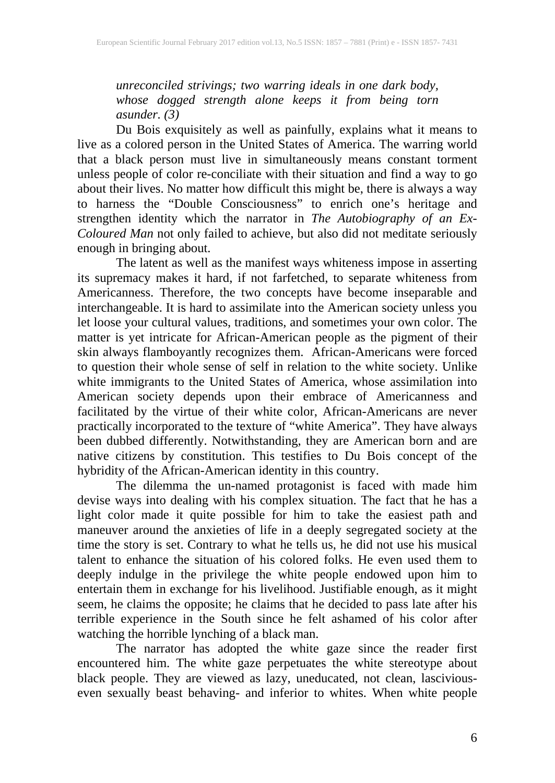*unreconciled strivings; two warring ideals in one dark body, whose dogged strength alone keeps it from being torn asunder. (3)*

Du Bois exquisitely as well as painfully, explains what it means to live as a colored person in the United States of America. The warring world that a black person must live in simultaneously means constant torment unless people of color re-conciliate with their situation and find a way to go about their lives. No matter how difficult this might be, there is always a way to harness the "Double Consciousness" to enrich one's heritage and strengthen identity which the narrator in *The Autobiography of an Ex-Coloured Man* not only failed to achieve, but also did not meditate seriously enough in bringing about.

The latent as well as the manifest ways whiteness impose in asserting its supremacy makes it hard, if not farfetched, to separate whiteness from Americanness. Therefore, the two concepts have become inseparable and interchangeable. It is hard to assimilate into the American society unless you let loose your cultural values, traditions, and sometimes your own color. The matter is yet intricate for African-American people as the pigment of their skin always flamboyantly recognizes them. African-Americans were forced to question their whole sense of self in relation to the white society. Unlike white immigrants to the United States of America, whose assimilation into American society depends upon their embrace of Americanness and facilitated by the virtue of their white color, African-Americans are never practically incorporated to the texture of "white America". They have always been dubbed differently. Notwithstanding, they are American born and are native citizens by constitution. This testifies to Du Bois concept of the hybridity of the African-American identity in this country.

The dilemma the un-named protagonist is faced with made him devise ways into dealing with his complex situation. The fact that he has a light color made it quite possible for him to take the easiest path and maneuver around the anxieties of life in a deeply segregated society at the time the story is set. Contrary to what he tells us, he did not use his musical talent to enhance the situation of his colored folks. He even used them to deeply indulge in the privilege the white people endowed upon him to entertain them in exchange for his livelihood. Justifiable enough, as it might seem, he claims the opposite; he claims that he decided to pass late after his terrible experience in the South since he felt ashamed of his color after watching the horrible lynching of a black man.

The narrator has adopted the white gaze since the reader first encountered him. The white gaze perpetuates the white stereotype about black people. They are viewed as lazy, uneducated, not clean, lasciviouseven sexually beast behaving- and inferior to whites. When white people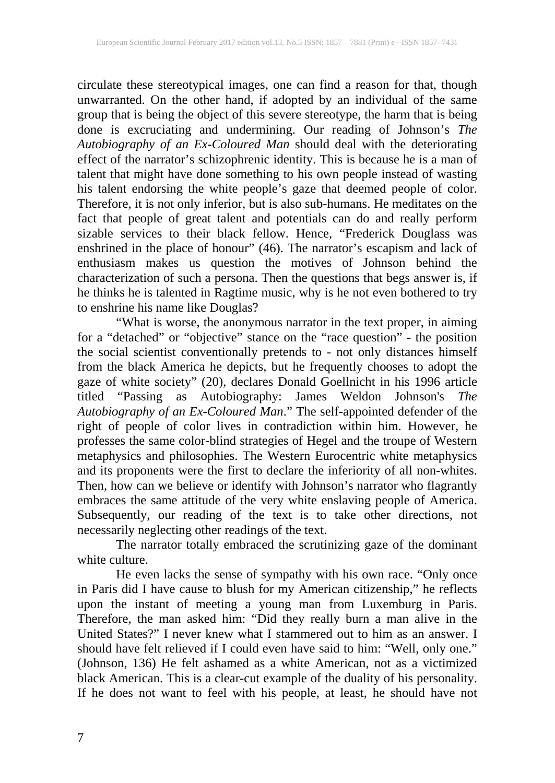circulate these stereotypical images, one can find a reason for that, though unwarranted. On the other hand, if adopted by an individual of the same group that is being the object of this severe stereotype, the harm that is being done is excruciating and undermining. Our reading of Johnson's *The Autobiography of an Ex-Coloured Man* should deal with the deteriorating effect of the narrator's schizophrenic identity. This is because he is a man of talent that might have done something to his own people instead of wasting his talent endorsing the white people's gaze that deemed people of color. Therefore, it is not only inferior, but is also sub-humans. He meditates on the fact that people of great talent and potentials can do and really perform sizable services to their black fellow. Hence, "Frederick Douglass was enshrined in the place of honour" (46). The narrator's escapism and lack of enthusiasm makes us question the motives of Johnson behind the characterization of such a persona. Then the questions that begs answer is, if he thinks he is talented in Ragtime music, why is he not even bothered to try to enshrine his name like Douglas?

"What is worse, the anonymous narrator in the text proper, in aiming for a "detached" or "objective" stance on the "race question" - the position the social scientist conventionally pretends to - not only distances himself from the black America he depicts, but he frequently chooses to adopt the gaze of white society" (20), declares Donald Goellnicht in his 1996 article titled "Passing as Autobiography: James Weldon Johnson's *The Autobiography of an Ex-Coloured Man*." The self-appointed defender of the right of people of color lives in contradiction within him. However, he professes the same color-blind strategies of Hegel and the troupe of Western metaphysics and philosophies. The Western Eurocentric white metaphysics and its proponents were the first to declare the inferiority of all non-whites. Then, how can we believe or identify with Johnson's narrator who flagrantly embraces the same attitude of the very white enslaving people of America. Subsequently, our reading of the text is to take other directions, not necessarily neglecting other readings of the text.

The narrator totally embraced the scrutinizing gaze of the dominant white culture.

He even lacks the sense of sympathy with his own race. "Only once in Paris did I have cause to blush for my American citizenship," he reflects upon the instant of meeting a young man from Luxemburg in Paris. Therefore, the man asked him: "Did they really burn a man alive in the United States?" I never knew what I stammered out to him as an answer. I should have felt relieved if I could even have said to him: "Well, only one." (Johnson, 136) He felt ashamed as a white American, not as a victimized black American. This is a clear-cut example of the duality of his personality. If he does not want to feel with his people, at least, he should have not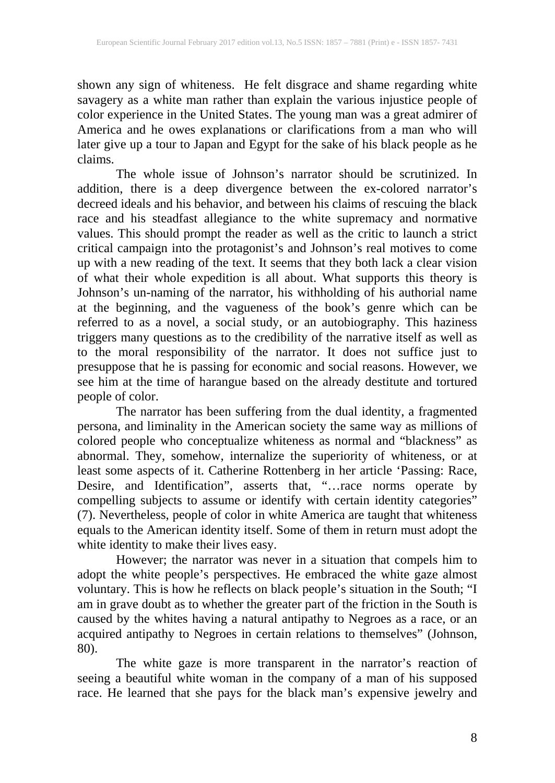shown any sign of whiteness. He felt disgrace and shame regarding white savagery as a white man rather than explain the various injustice people of color experience in the United States. The young man was a great admirer of America and he owes explanations or clarifications from a man who will later give up a tour to Japan and Egypt for the sake of his black people as he claims.

The whole issue of Johnson's narrator should be scrutinized. In addition, there is a deep divergence between the ex-colored narrator's decreed ideals and his behavior, and between his claims of rescuing the black race and his steadfast allegiance to the white supremacy and normative values. This should prompt the reader as well as the critic to launch a strict critical campaign into the protagonist's and Johnson's real motives to come up with a new reading of the text. It seems that they both lack a clear vision of what their whole expedition is all about. What supports this theory is Johnson's un-naming of the narrator, his withholding of his authorial name at the beginning, and the vagueness of the book's genre which can be referred to as a novel, a social study, or an autobiography. This haziness triggers many questions as to the credibility of the narrative itself as well as to the moral responsibility of the narrator. It does not suffice just to presuppose that he is passing for economic and social reasons. However, we see him at the time of harangue based on the already destitute and tortured people of color.

The narrator has been suffering from the dual identity, a fragmented persona, and liminality in the American society the same way as millions of colored people who conceptualize whiteness as normal and "blackness" as abnormal. They, somehow, internalize the superiority of whiteness, or at least some aspects of it. Catherine Rottenberg in her article 'Passing: Race, Desire, and Identification", asserts that, "…race norms operate by compelling subjects to assume or identify with certain identity categories" (7). Nevertheless, people of color in white America are taught that whiteness equals to the American identity itself. Some of them in return must adopt the white identity to make their lives easy.

However; the narrator was never in a situation that compels him to adopt the white people's perspectives. He embraced the white gaze almost voluntary. This is how he reflects on black people's situation in the South; "I am in grave doubt as to whether the greater part of the friction in the South is caused by the whites having a natural antipathy to Negroes as a race, or an acquired antipathy to Negroes in certain relations to themselves" (Johnson, 80).

The white gaze is more transparent in the narrator's reaction of seeing a beautiful white woman in the company of a man of his supposed race. He learned that she pays for the black man's expensive jewelry and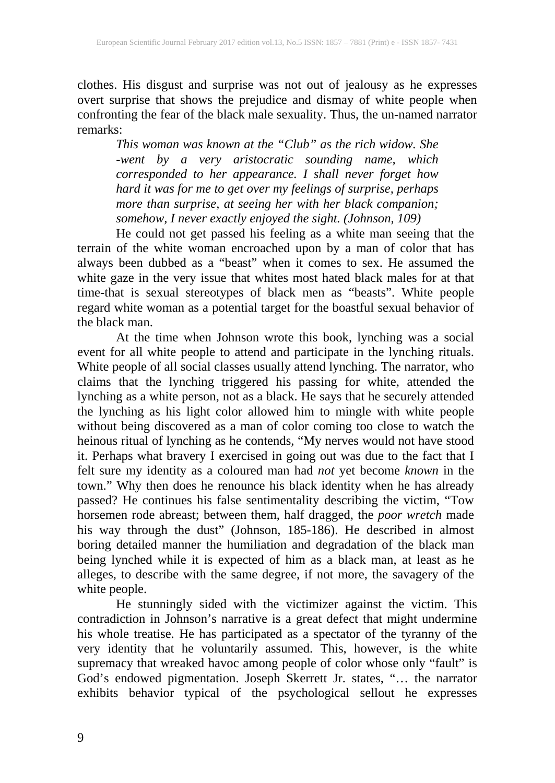clothes. His disgust and surprise was not out of jealousy as he expresses overt surprise that shows the prejudice and dismay of white people when confronting the fear of the black male sexuality. Thus, the un-named narrator remarks:

*This woman was known at the "Club" as the rich widow. She -went by a very aristocratic sounding name, which corresponded to her appearance. I shall never forget how hard it was for me to get over my feelings of surprise, perhaps more than surprise, at seeing her with her black companion; somehow, I never exactly enjoyed the sight. (Johnson, 109)*

He could not get passed his feeling as a white man seeing that the terrain of the white woman encroached upon by a man of color that has always been dubbed as a "beast" when it comes to sex. He assumed the white gaze in the very issue that whites most hated black males for at that time-that is sexual stereotypes of black men as "beasts". White people regard white woman as a potential target for the boastful sexual behavior of the black man.

At the time when Johnson wrote this book, lynching was a social event for all white people to attend and participate in the lynching rituals. White people of all social classes usually attend lynching. The narrator, who claims that the lynching triggered his passing for white, attended the lynching as a white person, not as a black. He says that he securely attended the lynching as his light color allowed him to mingle with white people without being discovered as a man of color coming too close to watch the heinous ritual of lynching as he contends, "My nerves would not have stood it. Perhaps what bravery I exercised in going out was due to the fact that I felt sure my identity as a coloured man had *not* yet become *known* in the town." Why then does he renounce his black identity when he has already passed? He continues his false sentimentality describing the victim, "Tow horsemen rode abreast; between them, half dragged, the *poor wretch* made his way through the dust" (Johnson, 185-186). He described in almost boring detailed manner the humiliation and degradation of the black man being lynched while it is expected of him as a black man, at least as he alleges, to describe with the same degree, if not more, the savagery of the white people.

He stunningly sided with the victimizer against the victim. This contradiction in Johnson's narrative is a great defect that might undermine his whole treatise. He has participated as a spectator of the tyranny of the very identity that he voluntarily assumed. This, however, is the white supremacy that wreaked havoc among people of color whose only "fault" is God's endowed pigmentation. Joseph Skerrett Jr. states, "… the narrator exhibits behavior typical of the psychological sellout he expresses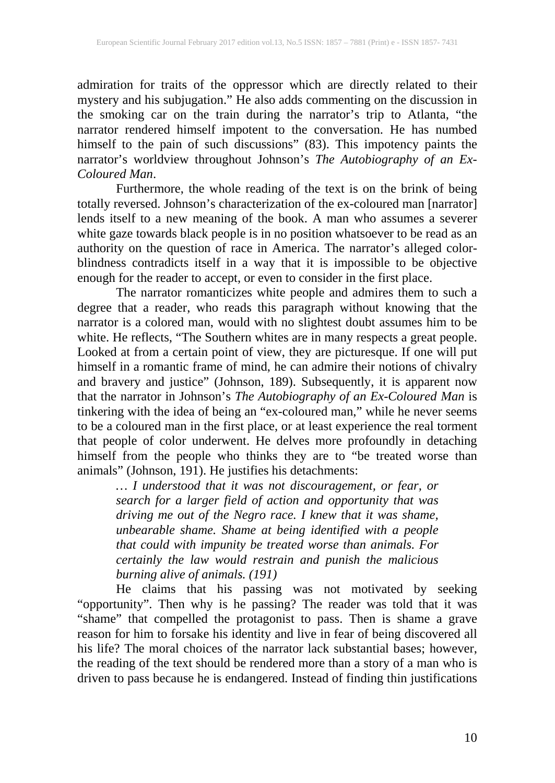admiration for traits of the oppressor which are directly related to their mystery and his subjugation." He also adds commenting on the discussion in the smoking car on the train during the narrator's trip to Atlanta, "the narrator rendered himself impotent to the conversation. He has numbed himself to the pain of such discussions" (83). This impotency paints the narrator's worldview throughout Johnson's *The Autobiography of an Ex-Coloured Man*.

Furthermore, the whole reading of the text is on the brink of being totally reversed. Johnson's characterization of the ex-coloured man [narrator] lends itself to a new meaning of the book. A man who assumes a severer white gaze towards black people is in no position whatsoever to be read as an authority on the question of race in America. The narrator's alleged colorblindness contradicts itself in a way that it is impossible to be objective enough for the reader to accept, or even to consider in the first place.

The narrator romanticizes white people and admires them to such a degree that a reader, who reads this paragraph without knowing that the narrator is a colored man, would with no slightest doubt assumes him to be white. He reflects, "The Southern whites are in many respects a great people. Looked at from a certain point of view, they are picturesque. If one will put himself in a romantic frame of mind, he can admire their notions of chivalry and bravery and justice" (Johnson, 189). Subsequently, it is apparent now that the narrator in Johnson's *The Autobiography of an Ex-Coloured Man* is tinkering with the idea of being an "ex-coloured man," while he never seems to be a coloured man in the first place, or at least experience the real torment that people of color underwent. He delves more profoundly in detaching himself from the people who thinks they are to "be treated worse than animals" (Johnson, 191). He justifies his detachments:

*… I understood that it was not discouragement, or fear, or search for a larger field of action and opportunity that was driving me out of the Negro race. I knew that it was shame, unbearable shame. Shame at being identified with a people that could with impunity be treated worse than animals. For certainly the law would restrain and punish the malicious burning alive of animals. (191)* 

He claims that his passing was not motivated by seeking "opportunity". Then why is he passing? The reader was told that it was "shame" that compelled the protagonist to pass. Then is shame a grave reason for him to forsake his identity and live in fear of being discovered all his life? The moral choices of the narrator lack substantial bases; however, the reading of the text should be rendered more than a story of a man who is driven to pass because he is endangered. Instead of finding thin justifications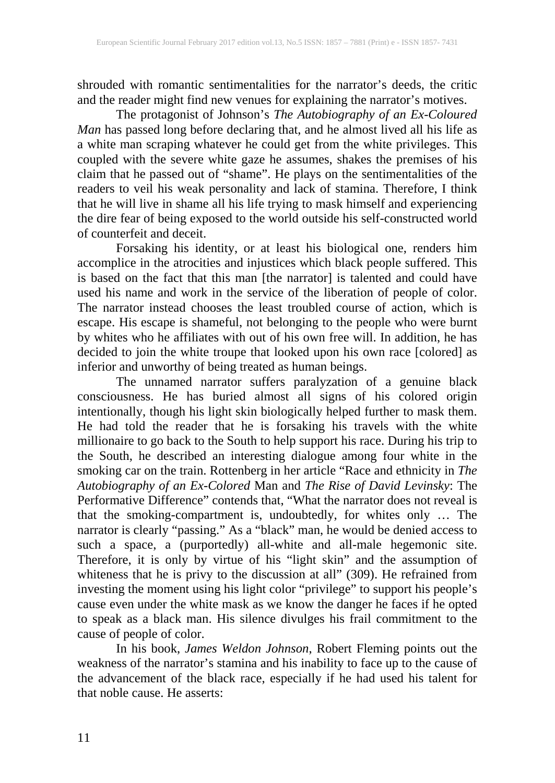shrouded with romantic sentimentalities for the narrator's deeds, the critic and the reader might find new venues for explaining the narrator's motives.

The protagonist of Johnson's *The Autobiography of an Ex-Coloured Man* has passed long before declaring that, and he almost lived all his life as a white man scraping whatever he could get from the white privileges. This coupled with the severe white gaze he assumes, shakes the premises of his claim that he passed out of "shame". He plays on the sentimentalities of the readers to veil his weak personality and lack of stamina. Therefore, I think that he will live in shame all his life trying to mask himself and experiencing the dire fear of being exposed to the world outside his self-constructed world of counterfeit and deceit.

Forsaking his identity, or at least his biological one, renders him accomplice in the atrocities and injustices which black people suffered. This is based on the fact that this man [the narrator] is talented and could have used his name and work in the service of the liberation of people of color. The narrator instead chooses the least troubled course of action, which is escape. His escape is shameful, not belonging to the people who were burnt by whites who he affiliates with out of his own free will. In addition, he has decided to join the white troupe that looked upon his own race [colored] as inferior and unworthy of being treated as human beings.

The unnamed narrator suffers paralyzation of a genuine black consciousness. He has buried almost all signs of his colored origin intentionally, though his light skin biologically helped further to mask them. He had told the reader that he is forsaking his travels with the white millionaire to go back to the South to help support his race. During his trip to the South, he described an interesting dialogue among four white in the smoking car on the train. Rottenberg in her article "Race and ethnicity in *The Autobiography of an Ex-Colored* Man and *The Rise of David Levinsky*: The Performative Difference" contends that, "What the narrator does not reveal is that the smoking-compartment is, undoubtedly, for whites only … The narrator is clearly "passing." As a "black" man, he would be denied access to such a space, a (purportedly) all-white and all-male hegemonic site. Therefore, it is only by virtue of his "light skin" and the assumption of whiteness that he is privy to the discussion at all" (309). He refrained from investing the moment using his light color "privilege" to support his people's cause even under the white mask as we know the danger he faces if he opted to speak as a black man. His silence divulges his frail commitment to the cause of people of color.

In his book, *James Weldon Johnson*, Robert Fleming points out the weakness of the narrator's stamina and his inability to face up to the cause of the advancement of the black race, especially if he had used his talent for that noble cause. He asserts: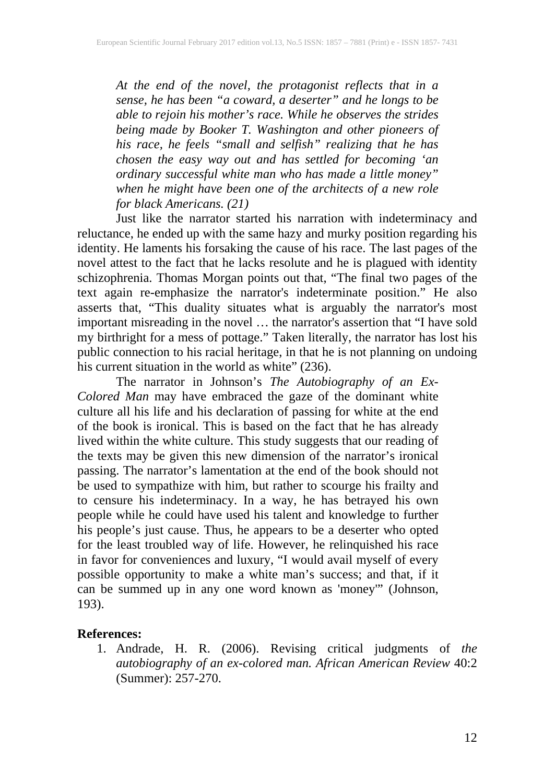*At the end of the novel, the protagonist reflects that in a sense, he has been "a coward, a deserter" and he longs to be able to rejoin his mother's race. While he observes the strides being made by Booker T. Washington and other pioneers of his race, he feels "small and selfish" realizing that he has chosen the easy way out and has settled for becoming 'an ordinary successful white man who has made a little money" when he might have been one of the architects of a new role for black Americans. (21)*

Just like the narrator started his narration with indeterminacy and reluctance, he ended up with the same hazy and murky position regarding his identity. He laments his forsaking the cause of his race. The last pages of the novel attest to the fact that he lacks resolute and he is plagued with identity schizophrenia. Thomas Morgan points out that, "The final two pages of the text again re-emphasize the narrator's indeterminate position." He also asserts that, "This duality situates what is arguably the narrator's most important misreading in the novel … the narrator's assertion that "I have sold my birthright for a mess of pottage." Taken literally, the narrator has lost his public connection to his racial heritage, in that he is not planning on undoing his current situation in the world as white" (236).

The narrator in Johnson's *The Autobiography of an Ex-Colored Man* may have embraced the gaze of the dominant white culture all his life and his declaration of passing for white at the end of the book is ironical. This is based on the fact that he has already lived within the white culture. This study suggests that our reading of the texts may be given this new dimension of the narrator's ironical passing. The narrator's lamentation at the end of the book should not be used to sympathize with him, but rather to scourge his frailty and to censure his indeterminacy. In a way, he has betrayed his own people while he could have used his talent and knowledge to further his people's just cause. Thus, he appears to be a deserter who opted for the least troubled way of life. However, he relinquished his race in favor for conveniences and luxury, "I would avail myself of every possible opportunity to make a white man's success; and that, if it can be summed up in any one word known as 'money'" (Johnson, 193).

## **References:**

1. Andrade, H. R. (2006). Revising critical judgments of *the autobiography of an ex-colored man. African American Review* 40:2 (Summer): 257-270.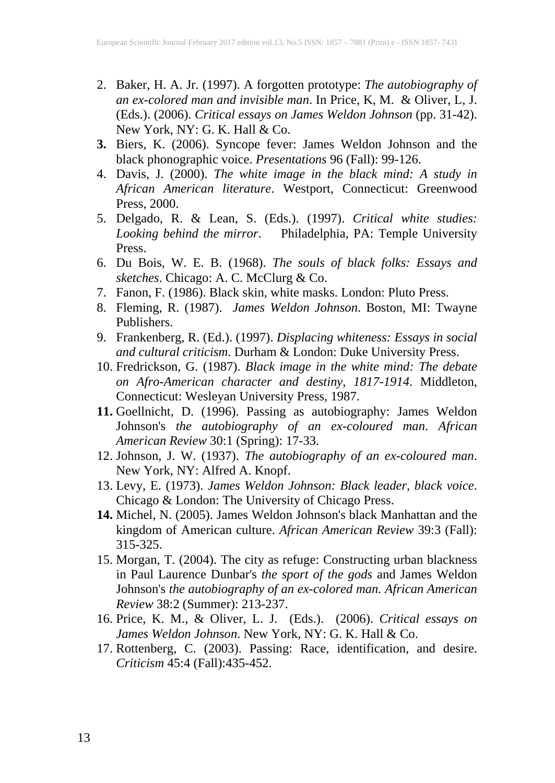- 2. Baker, H. A. Jr. (1997). A forgotten prototype: *The autobiography of an ex-colored man and invisible man*. In Price, K, M. & Oliver, L, J. (Eds.). (2006). *Critical essays on James Weldon Johnson* (pp. 31-42). New York, NY: G. K. Hall & Co.
- **3.** Biers, K. (2006). Syncope fever: James Weldon Johnson and the black phonographic voice. *Presentations* 96 (Fall): 99-126.
- 4. Davis, J. (2000). *The white image in the black mind: A study in African American literature*. Westport, Connecticut: Greenwood Press, 2000.
- 5. Delgado, R. & Lean, S. (Eds.). (1997). *Critical white studies: Looking behind the mirror*. Philadelphia, PA: Temple University Press.
- 6. Du Bois, W. E. B. (1968). *The souls of black folks: Essays and sketches*. Chicago: A. C. McClurg & Co.
- 7. Fanon, F. (1986). Black skin, white masks. London: Pluto Press.
- 8. Fleming, R. (1987). *James Weldon Johnson*. Boston, MI: Twayne Publishers.
- 9. Frankenberg, R. (Ed.). (1997). *Displacing whiteness: Essays in social and cultural criticism*. Durham & London: Duke University Press.
- 10. Fredrickson, G. (1987). *Black image in the white mind: The debate on Afro-American character and destiny, 1817-1914*. Middleton, Connecticut: Wesleyan University Press, 1987.
- **11.** Goellnicht, D. (1996). Passing as autobiography: James Weldon Johnson's *the autobiography of an ex-coloured man*. *African American Review* 30:1 (Spring): 17-33.
- 12. Johnson, J. W. (1937). *The autobiography of an ex-coloured man*. New York, NY: Alfred A. Knopf.
- 13. Levy, E. (1973). *James Weldon Johnson: Black leader, black voice*. Chicago & London: The University of Chicago Press.
- **14.** Michel, N. (2005). James Weldon Johnson's black Manhattan and the kingdom of American culture. *African American Review* 39:3 (Fall): 315-325.
- 15. Morgan, T. (2004). The city as refuge: Constructing urban blackness in Paul Laurence Dunbar's *the sport of the gods* and James Weldon Johnson's *the autobiography of an ex-colored man. African American Review* 38:2 (Summer): 213-237.
- 16. Price, K. M., & Oliver, L. J. (Eds.). (2006). *Critical essays on James Weldon Johnson*. New York, NY: G. K. Hall & Co.
- 17. Rottenberg, C. (2003). Passing: Race, identification, and desire. *Criticism* 45:4 (Fall):435-452.